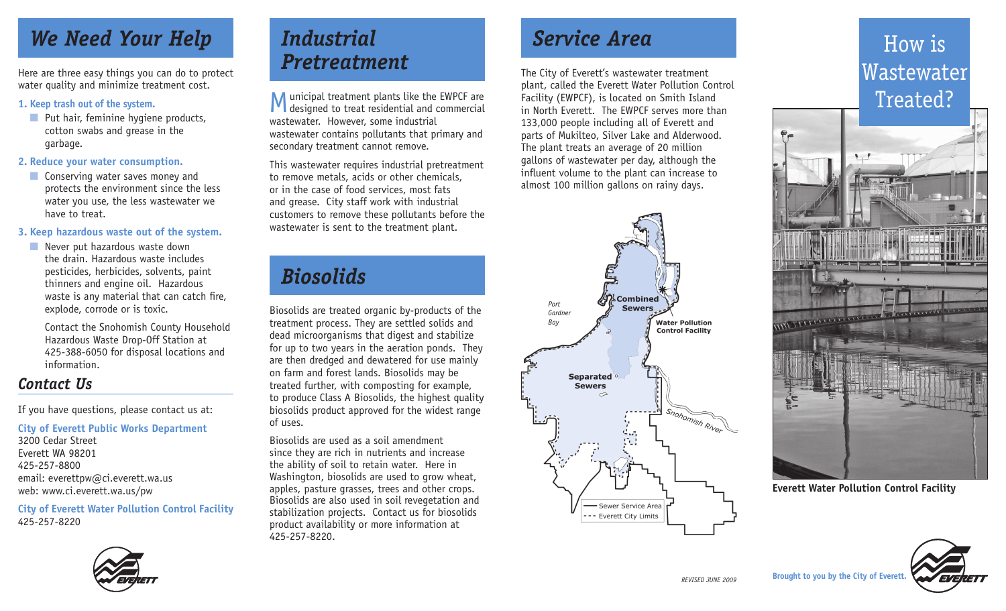## *We Need Your Help*

Here are three easy things you can do to protect water quality and minimize treatment cost.

#### **1. Keep trash out of the system.**

■ Put hair, feminine hygiene products, cotton swabs and grease in the garbage.

#### **2. Reduce your water consumption.**

■ Conserving water saves money and protects the environment since the less water you use, the less wastewater we have to treat.

#### **3. Keep hazardous waste out of the system.**

■ Never put hazardous waste down the drain. Hazardous waste includes pesticides, herbicides, solvents, paint thinners and engine oil. Hazardous waste is any material that can catch fire, explode, corrode or is toxic.

Contact the Snohomish County Household Hazardous Waste Drop-Off Station at 425-388-6050 for disposal locations and information.

### *Contact Us*

If you have questions, please contact us at:

#### **City of Everett Public Works Department**

3200 Cedar Street Everett WA 98201 425-257-8800 email: everettpw@ci.everett.wa.us web: www.ci.everett.wa.us/pw

**City of Everett Water Pollution Control Facility** 425-257-8220



## *Industrial Pretreatment*

Municipal treatment plants like the EWPCF are **V** designed to treat residential and commercial wastewater. However, some industrial wastewater contains pollutants that primary and secondary treatment cannot remove.

This wastewater requires industrial pretreatment to remove metals, acids or other chemicals, or in the case of food services, most fats and grease. City staff work with industrial customers to remove these pollutants before the wastewater is sent to the treatment plant.

## *Biosolids*

Biosolids are treated organic by-products of the treatment process. They are settled solids and dead microorganisms that digest and stabilize for up to two years in the aeration ponds. They are then dredged and dewatered for use mainly on farm and forest lands. Biosolids may be treated further, with composting for example, to produce Class A Biosolids, the highest quality biosolids product approved for the widest range of uses.

Biosolids are used as a soil amendment since they are rich in nutrients and increase the ability of soil to retain water. Here in Washington, biosolids are used to grow wheat, apples, pasture grasses, trees and other crops. Biosolids are also used in soil revegetation and stabilization projects. Contact us for biosolids product availability or more information at 425-257-8220.

## *Service Area*

The City of Everett's wastewater treatment plant, called the Everett Water Pollution Control Facility (EWPCF), is located on Smith Island in North Everett. The EWPCF serves more than 133,000 people including all of Everett and parts of Mukilteo, Silver Lake and Alderwood. The plant treats an average of 20 million gallons of wastewater per day, although the influent volume to the plant can increase to almost 100 million gallons on rainy days.



# How is Wastewater Treated?



**Everett Water Pollution Control Facility**